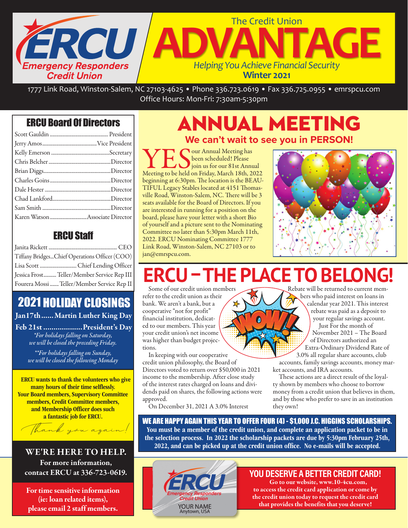

1777 Link Road, Winston-Salem, NC 27103-4625 • Phone 336.723.0619 • Fax 336.725.0955 • emrspcu.com Office Hours: Mon-Fri: 7:30am-5:30pm

## ERCU Board Of Directors

## ERCU Staff

| Tiffany BridgesChief Operations Officer (COO) |
|-----------------------------------------------|
|                                               |
| Jessica Frost Teller/Member Service Rep III   |
| Fourera Mossi  Teller/Member Service Rep II   |

## 2021 HOLIDAY CLOSINGS

Jan17th...... Martin Luther King Day

Feb 21st...................President's Day *\*For holidays falling on Saturday, we will be closed the preceding Friday. \*\*For holidays falling on Sunday, we will be closed the following Monday* 

ERCU wants to thank the volunteers who give many hours of their time selflessly. Your Board members, Supervisory Committee members, Credit Committee members, and Membership Officer does such a fantastic job for ERCU.



WE'RE HERE TO HELP. For more information, contact ERCU at 336-723-0619.

For time sensitive information (ie: loan related items), please email 2 staff members.

## ANNUAL MEETING **We can't wait to see you in PERSON!**

**YES** Our Annual Meeting has<br>Meeting to be held on Friday, March 18th, 2022 been scheduled! Please join us for our 81st Annual beginning at 6:30pm. The location is the BEAU-TIFUL Legacy Stables located at 4151 Thomasville Road, Winston-Salem, NC. There will be 3 seats available for the Board of Directors. If you are interested in running for a position on the board, please have your letter with a short Bio of yourself and a picture sent to the Nominating Committee no later than 5:30pm March 11th, 2022. ERCU Nominating Committee 1777 Link Road, Winston-Salem, NC 27103 or to jan@emrspcu.com.



# U-THE PLACE TO BELONG!

Some of our credit union members refer to the credit union as their bank. We aren't a bank, but a cooperative "not for profit" financial institution, dedicated to our members. This year your credit union's net income was higher than budget projections.

In keeping with our cooperative credit union philosophy, the Board of Directors voted to return over \$50,000 in 2021 income to the membership. After close study of the interest rates charged on loans and dividends paid on shares, the following actions were approved.

On December 31, 2021 A 3.0% Interest

Rebate will be returned to current members who paid interest on loans in calendar year 2021. This interest rebate was paid as a deposit to your regular savings account. Just For the month of November 2021 – The Board of Directors authorized an Extra-Ordinary Dividend Rate of 3.0% all regular share accounts, club

accounts, family savings accounts, money market accounts, and IRA accounts.

These actions are a direct result of the loyalty shown by members who choose to borrow money from a credit union that believes in them, and by those who prefer to save in an institution they own!

WE ARE HAPPY AGAIN THIS YEAR TO OFFER FOUR (4) - \$1,000 J.C. HIGGINS SCHOLARSHIPS. You must be a member of the credit union, and complete an application packet to be in the selection process. In 2022 the scholarship packets are due by 5:30pm February 25th, 2022, and can be picked up at the credit union office. No e-mails will be accepted.



### YOU DESERVE A BETTER CREDIT CARD!

Go to our website, www.10-4cu.com, to access the credit card application or come by the credit union today to request the credit card that provides the benefits that you deserve!